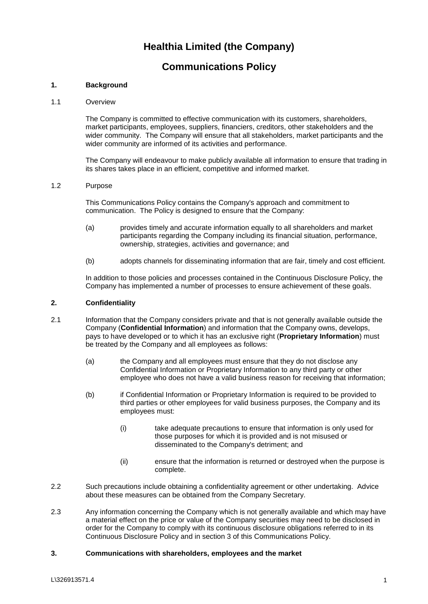## **Healthia Limited (the Company)**

## **Communications Policy**

## **1. Background**

#### 1.1 Overview

The Company is committed to effective communication with its customers, shareholders, market participants, employees, suppliers, financiers, creditors, other stakeholders and the wider community. The Company will ensure that all stakeholders, market participants and the wider community are informed of its activities and performance.

The Company will endeavour to make publicly available all information to ensure that trading in its shares takes place in an efficient, competitive and informed market.

#### 1.2 Purpose

This Communications Policy contains the Company's approach and commitment to communication. The Policy is designed to ensure that the Company:

- (a) provides timely and accurate information equally to all shareholders and market participants regarding the Company including its financial situation, performance, ownership, strategies, activities and governance; and
- (b) adopts channels for disseminating information that are fair, timely and cost efficient.

In addition to those policies and processes contained in the Continuous Disclosure Policy, the Company has implemented a number of processes to ensure achievement of these goals.

#### **2. Confidentiality**

- 2.1 Information that the Company considers private and that is not generally available outside the Company (**Confidential Information**) and information that the Company owns, develops, pays to have developed or to which it has an exclusive right (**Proprietary Information**) must be treated by the Company and all employees as follows:
	- (a) the Company and all employees must ensure that they do not disclose any Confidential Information or Proprietary Information to any third party or other employee who does not have a valid business reason for receiving that information;
	- (b) if Confidential Information or Proprietary Information is required to be provided to third parties or other employees for valid business purposes, the Company and its employees must:
		- (i) take adequate precautions to ensure that information is only used for those purposes for which it is provided and is not misused or disseminated to the Company's detriment; and
		- (ii) ensure that the information is returned or destroyed when the purpose is complete.
- 2.2 Such precautions include obtaining a confidentiality agreement or other undertaking. Advice about these measures can be obtained from the Company Secretary.
- 2.3 Any information concerning the Company which is not generally available and which may have a material effect on the price or value of the Company securities may need to be disclosed in order for the Company to comply with its continuous disclosure obligations referred to in its Continuous Disclosure Policy and in section 3 of this Communications Policy.

## **3. Communications with shareholders, employees and the market**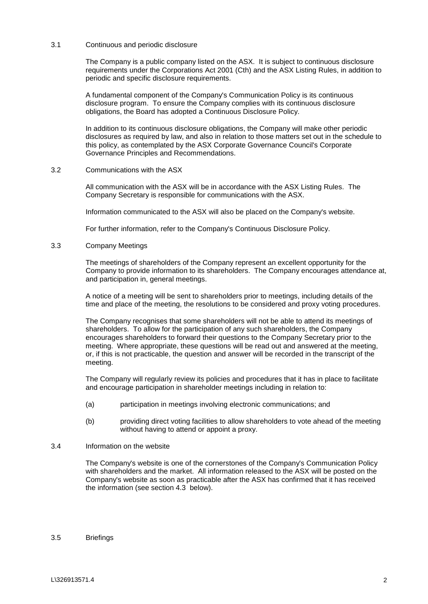#### 3.1 Continuous and periodic disclosure

The Company is a public company listed on the ASX. It is subject to continuous disclosure requirements under the Corporations Act 2001 (Cth) and the ASX Listing Rules, in addition to periodic and specific disclosure requirements.

A fundamental component of the Company's Communication Policy is its continuous disclosure program. To ensure the Company complies with its continuous disclosure obligations, the Board has adopted a Continuous Disclosure Policy.

In addition to its continuous disclosure obligations, the Company will make other periodic disclosures as required by law, and also in relation to those matters set out in the schedule to this policy, as contemplated by the ASX Corporate Governance Council's Corporate Governance Principles and Recommendations.

3.2 Communications with the ASX

All communication with the ASX will be in accordance with the ASX Listing Rules. The Company Secretary is responsible for communications with the ASX.

Information communicated to the ASX will also be placed on the Company's website.

For further information, refer to the Company's Continuous Disclosure Policy.

#### 3.3 Company Meetings

The meetings of shareholders of the Company represent an excellent opportunity for the Company to provide information to its shareholders. The Company encourages attendance at, and participation in, general meetings.

A notice of a meeting will be sent to shareholders prior to meetings, including details of the time and place of the meeting, the resolutions to be considered and proxy voting procedures.

The Company recognises that some shareholders will not be able to attend its meetings of shareholders. To allow for the participation of any such shareholders, the Company encourages shareholders to forward their questions to the Company Secretary prior to the meeting. Where appropriate, these questions will be read out and answered at the meeting, or, if this is not practicable, the question and answer will be recorded in the transcript of the meeting.

The Company will regularly review its policies and procedures that it has in place to facilitate and encourage participation in shareholder meetings including in relation to:

- (a) participation in meetings involving electronic communications; and
- (b) providing direct voting facilities to allow shareholders to vote ahead of the meeting without having to attend or appoint a proxy.
- 3.4 Information on the website

The Company's website is one of the cornerstones of the Company's Communication Policy with shareholders and the market. All information released to the ASX will be posted on the Company's website as soon as practicable after the ASX has confirmed that it has received the information (see section [4.3](#page-3-0) below).

#### 3.5 Briefings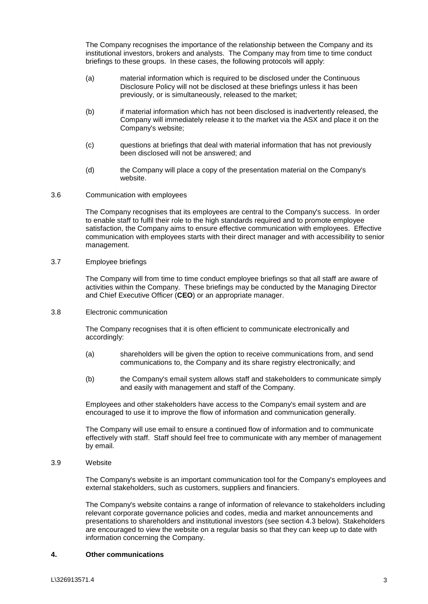The Company recognises the importance of the relationship between the Company and its institutional investors, brokers and analysts. The Company may from time to time conduct briefings to these groups. In these cases, the following protocols will apply:

- (a) material information which is required to be disclosed under the Continuous Disclosure Policy will not be disclosed at these briefings unless it has been previously, or is simultaneously, released to the market;
- (b) if material information which has not been disclosed is inadvertently released, the Company will immediately release it to the market via the ASX and place it on the Company's website;
- (c) questions at briefings that deal with material information that has not previously been disclosed will not be answered; and
- (d) the Company will place a copy of the presentation material on the Company's website.
- 3.6 Communication with employees

The Company recognises that its employees are central to the Company's success. In order to enable staff to fulfil their role to the high standards required and to promote employee satisfaction, the Company aims to ensure effective communication with employees. Effective communication with employees starts with their direct manager and with accessibility to senior management.

3.7 Employee briefings

The Company will from time to time conduct employee briefings so that all staff are aware of activities within the Company. These briefings may be conducted by the Managing Director and Chief Executive Officer (**CEO**) or an appropriate manager.

3.8 Electronic communication

The Company recognises that it is often efficient to communicate electronically and accordingly:

- (a) shareholders will be given the option to receive communications from, and send communications to, the Company and its share registry electronically; and
- (b) the Company's email system allows staff and stakeholders to communicate simply and easily with management and staff of the Company.

Employees and other stakeholders have access to the Company's email system and are encouraged to use it to improve the flow of information and communication generally.

The Company will use email to ensure a continued flow of information and to communicate effectively with staff. Staff should feel free to communicate with any member of management by email.

3.9 Website

The Company's website is an important communication tool for the Company's employees and external stakeholders, such as customers, suppliers and financiers.

The Company's website contains a range of information of relevance to stakeholders including relevant corporate governance policies and codes, media and market announcements and presentations to shareholders and institutional investors (see section [4.3](#page-3-0) below). Stakeholders are encouraged to view the website on a regular basis so that they can keep up to date with information concerning the Company.

## **4. Other communications**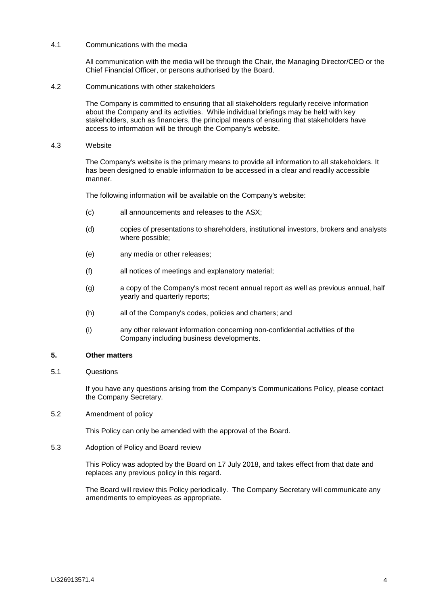#### 4.1 Communications with the media

All communication with the media will be through the Chair, the Managing Director/CEO or the Chief Financial Officer, or persons authorised by the Board.

4.2 Communications with other stakeholders

The Company is committed to ensuring that all stakeholders regularly receive information about the Company and its activities. While individual briefings may be held with key stakeholders, such as financiers, the principal means of ensuring that stakeholders have access to information will be through the Company's website.

<span id="page-3-0"></span>4.3 Website

The Company's website is the primary means to provide all information to all stakeholders. It has been designed to enable information to be accessed in a clear and readily accessible manner.

The following information will be available on the Company's website:

- (c) all announcements and releases to the ASX;
- (d) copies of presentations to shareholders, institutional investors, brokers and analysts where possible;
- (e) any media or other releases;
- (f) all notices of meetings and explanatory material;
- (g) a copy of the Company's most recent annual report as well as previous annual, half yearly and quarterly reports;
- (h) all of the Company's codes, policies and charters; and
- (i) any other relevant information concerning non-confidential activities of the Company including business developments.

#### **5. Other matters**

5.1 Questions

If you have any questions arising from the Company's Communications Policy, please contact the Company Secretary.

5.2 Amendment of policy

This Policy can only be amended with the approval of the Board.

5.3 Adoption of Policy and Board review

This Policy was adopted by the Board on 17 July 2018, and takes effect from that date and replaces any previous policy in this regard.

The Board will review this Policy periodically. The Company Secretary will communicate any amendments to employees as appropriate.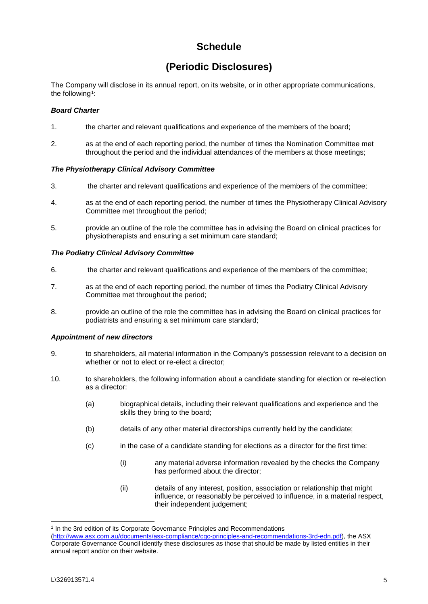# **Schedule**

## **(Periodic Disclosures)**

The Company will disclose in its annual report, on its website, or in other appropriate communications, the following<sup>[1](#page-4-0)</sup>:

## *Board Charter*

- 1. the charter and relevant qualifications and experience of the members of the board;
- 2. as at the end of each reporting period, the number of times the Nomination Committee met throughout the period and the individual attendances of the members at those meetings;

### *The Physiotherapy Clinical Advisory Committee*

- 3. the charter and relevant qualifications and experience of the members of the committee;
- 4. as at the end of each reporting period, the number of times the Physiotherapy Clinical Advisory Committee met throughout the period;
- 5. provide an outline of the role the committee has in advising the Board on clinical practices for physiotherapists and ensuring a set minimum care standard;

## *The Podiatry Clinical Advisory Committee*

- 6. the charter and relevant qualifications and experience of the members of the committee;
- 7. as at the end of each reporting period, the number of times the Podiatry Clinical Advisory Committee met throughout the period;
- 8. provide an outline of the role the committee has in advising the Board on clinical practices for podiatrists and ensuring a set minimum care standard;

## *Appointment of new directors*

- 9. to shareholders, all material information in the Company's possession relevant to a decision on whether or not to elect or re-elect a director;
- 10. to shareholders, the following information about a candidate standing for election or re-election as a director:
	- (a) biographical details, including their relevant qualifications and experience and the skills they bring to the board;
	- (b) details of any other material directorships currently held by the candidate;
	- (c) in the case of a candidate standing for elections as a director for the first time:
		- (i) any material adverse information revealed by the checks the Company has performed about the director;
		- (ii) details of any interest, position, association or relationship that might influence, or reasonably be perceived to influence, in a material respect, their independent judgement;

<span id="page-4-0"></span><sup>&</sup>lt;sup>1</sup> In the 3rd edition of its Corporate Governance Principles and Recommendations

[<sup>\(</sup>http://www.asx.com.au/documents/asx-compliance/cgc-principles-and-recommendations-3rd-edn.pdf\)](http://www.asx.com.au/documents/asx-compliance/cgc-principles-and-recommendations-3rd-edn.pdf), the ASX Corporate Governance Council identify these disclosures as those that should be made by listed entities in their annual report and/or on their website.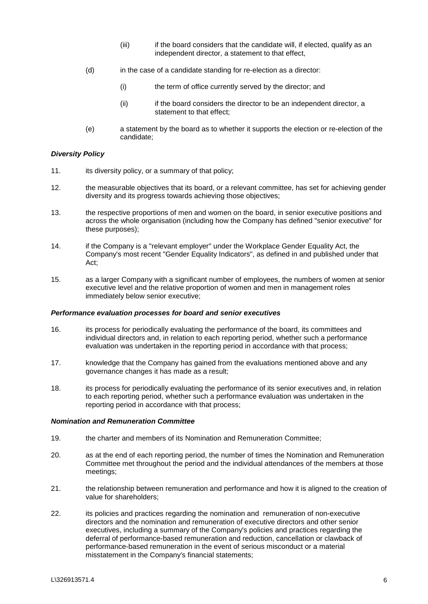- (iii) if the board considers that the candidate will, if elected, qualify as an independent director, a statement to that effect,
- (d) in the case of a candidate standing for re-election as a director:
	- (i) the term of office currently served by the director; and
	- (ii) if the board considers the director to be an independent director, a statement to that effect;
- (e) a statement by the board as to whether it supports the election or re-election of the candidate;

### *Diversity Policy*

- 11. its diversity policy, or a summary of that policy;
- 12. the measurable objectives that its board, or a relevant committee, has set for achieving gender diversity and its progress towards achieving those objectives;
- 13. the respective proportions of men and women on the board, in senior executive positions and across the whole organisation (including how the Company has defined "senior executive" for these purposes);
- 14. if the Company is a "relevant employer" under the Workplace Gender Equality Act, the Company's most recent "Gender Equality Indicators", as defined in and published under that Act;
- 15. as a larger Company with a significant number of employees, the numbers of women at senior executive level and the relative proportion of women and men in management roles immediately below senior executive;

### *Performance evaluation processes for board and senior executives*

- 16. its process for periodically evaluating the performance of the board, its committees and individual directors and, in relation to each reporting period, whether such a performance evaluation was undertaken in the reporting period in accordance with that process;
- 17. knowledge that the Company has gained from the evaluations mentioned above and any governance changes it has made as a result;
- 18. its process for periodically evaluating the performance of its senior executives and, in relation to each reporting period, whether such a performance evaluation was undertaken in the reporting period in accordance with that process;

## *Nomination and Remuneration Committee*

- 19. the charter and members of its Nomination and Remuneration Committee;
- 20. as at the end of each reporting period, the number of times the Nomination and Remuneration Committee met throughout the period and the individual attendances of the members at those meetings;
- 21. the relationship between remuneration and performance and how it is aligned to the creation of value for shareholders;
- 22. its policies and practices regarding the nomination and remuneration of non-executive directors and the nomination and remuneration of executive directors and other senior executives, including a summary of the Company's policies and practices regarding the deferral of performance-based remuneration and reduction, cancellation or clawback of performance-based remuneration in the event of serious misconduct or a material misstatement in the Company's financial statements;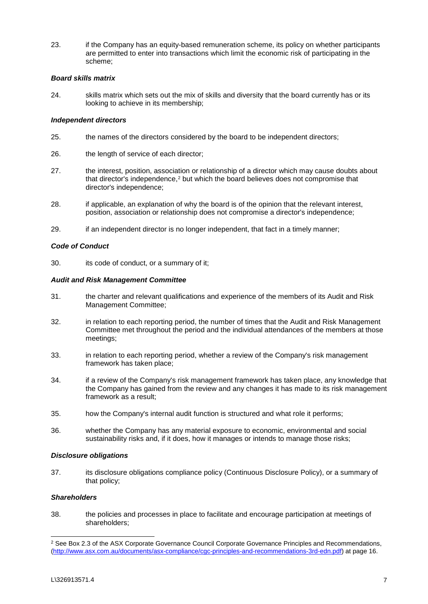23. if the Company has an equity-based remuneration scheme, its policy on whether participants are permitted to enter into transactions which limit the economic risk of participating in the scheme;

### *Board skills matrix*

24. skills matrix which sets out the mix of skills and diversity that the board currently has or its looking to achieve in its membership;

## *Independent directors*

- 25. the names of the directors considered by the board to be independent directors;
- 26. the length of service of each director;
- 27. the interest, position, association or relationship of a director which may cause doubts about that director's independence,<sup>[2](#page-6-0)</sup> but which the board believes does not compromise that director's independence;
- 28. if applicable, an explanation of why the board is of the opinion that the relevant interest, position, association or relationship does not compromise a director's independence;
- 29. if an independent director is no longer independent, that fact in a timely manner;

### *Code of Conduct*

30. its code of conduct, or a summary of it;

### *Audit and Risk Management Committee*

- 31. the charter and relevant qualifications and experience of the members of its Audit and Risk Management Committee;
- 32. in relation to each reporting period, the number of times that the Audit and Risk Management Committee met throughout the period and the individual attendances of the members at those meetings;
- 33. in relation to each reporting period, whether a review of the Company's risk management framework has taken place;
- 34. if a review of the Company's risk management framework has taken place, any knowledge that the Company has gained from the review and any changes it has made to its risk management framework as a result;
- 35. how the Company's internal audit function is structured and what role it performs;
- 36. whether the Company has any material exposure to economic, environmental and social sustainability risks and, if it does, how it manages or intends to manage those risks;

#### *Disclosure obligations*

37. its disclosure obligations compliance policy (Continuous Disclosure Policy), or a summary of that policy;

## *Shareholders*

38. the policies and processes in place to facilitate and encourage participation at meetings of shareholders;

<span id="page-6-0"></span><sup>&</sup>lt;sup>2</sup> See Box 2.3 of the ASX Corporate Governance Council Corporate Governance Principles and Recommendations, [\(http://www.asx.com.au/documents/asx-compliance/cgc-principles-and-recommendations-3rd-edn.pdf\)](http://www.asx.com.au/documents/asx-compliance/cgc-principles-and-recommendations-3rd-edn.pdf) at page 16.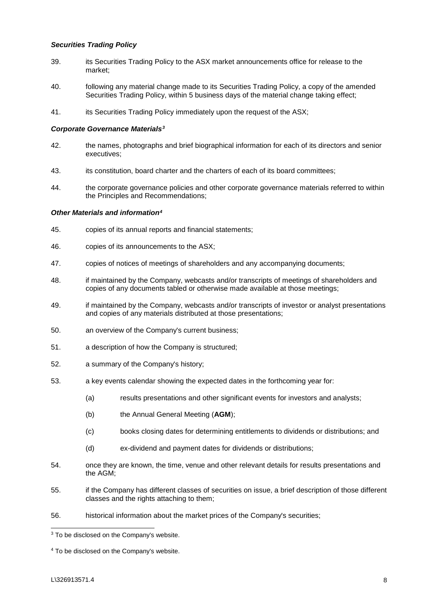## *Securities Trading Policy*

- 39. its Securities Trading Policy to the ASX market announcements office for release to the market;
- 40. following any material change made to its Securities Trading Policy, a copy of the amended Securities Trading Policy, within 5 business days of the material change taking effect;
- 41. its Securities Trading Policy immediately upon the request of the ASX;

#### *Corporate Governance Materials[3](#page-7-0)*

- 42. the names, photographs and brief biographical information for each of its directors and senior executives;
- 43. its constitution, board charter and the charters of each of its board committees;
- 44. the corporate governance policies and other corporate governance materials referred to within the Principles and Recommendations;

#### *Other Materials and information[4](#page-7-1)*

- 45. copies of its annual reports and financial statements;
- 46. copies of its announcements to the ASX;
- 47. copies of notices of meetings of shareholders and any accompanying documents;
- 48. if maintained by the Company, webcasts and/or transcripts of meetings of shareholders and copies of any documents tabled or otherwise made available at those meetings;
- 49. if maintained by the Company, webcasts and/or transcripts of investor or analyst presentations and copies of any materials distributed at those presentations;
- 50. an overview of the Company's current business;
- 51. a description of how the Company is structured;
- 52. a summary of the Company's history;
- 53. a key events calendar showing the expected dates in the forthcoming year for:
	- (a) results presentations and other significant events for investors and analysts;
	- (b) the Annual General Meeting (**AGM**);
	- (c) books closing dates for determining entitlements to dividends or distributions; and
	- (d) ex-dividend and payment dates for dividends or distributions;
- 54. once they are known, the time, venue and other relevant details for results presentations and the AGM;
- 55. if the Company has different classes of securities on issue, a brief description of those different classes and the rights attaching to them;
- 56. historical information about the market prices of the Company's securities;

<span id="page-7-0"></span><sup>&</sup>lt;sup>3</sup> To be disclosed on the Company's website.

<span id="page-7-1"></span><sup>4</sup> To be disclosed on the Company's website.